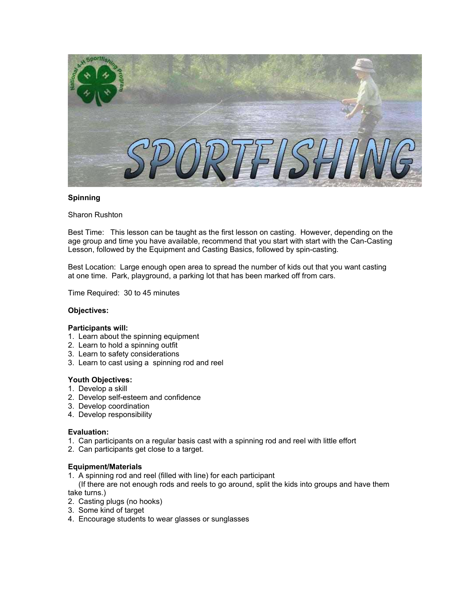

## **Spinning**

Sharon Rushton

Best Time: This lesson can be taught as the first lesson on casting. However, depending on the age group and time you have available, recommend that you start with start with the Can-Casting Lesson, followed by the Equipment and Casting Basics, followed by spin-casting.

Best Location: Large enough open area to spread the number of kids out that you want casting at one time. Park, playground, a parking lot that has been marked off from cars.

Time Required: 30 to 45 minutes

## **Objectives:**

## **Participants will:**

- 1. Learn about the spinning equipment
- 2. Learn to hold a spinning outfit
- 3. Learn to safety considerations
- 3. Learn to cast using a spinning rod and reel

## **Youth Objectives:**

- 1. Develop a skill
- 2. Develop self-esteem and confidence
- 3. Develop coordination
- 4. Develop responsibility

## **Evaluation:**

- 1. Can participants on a regular basis cast with a spinning rod and reel with little effort
- 2. Can participants get close to a target.

## **Equipment/Materials**

1. A spinning rod and reel (filled with line) for each participant

 (If there are not enough rods and reels to go around, split the kids into groups and have them take turns.)

- 2. Casting plugs (no hooks)
- 3. Some kind of target
- 4. Encourage students to wear glasses or sunglasses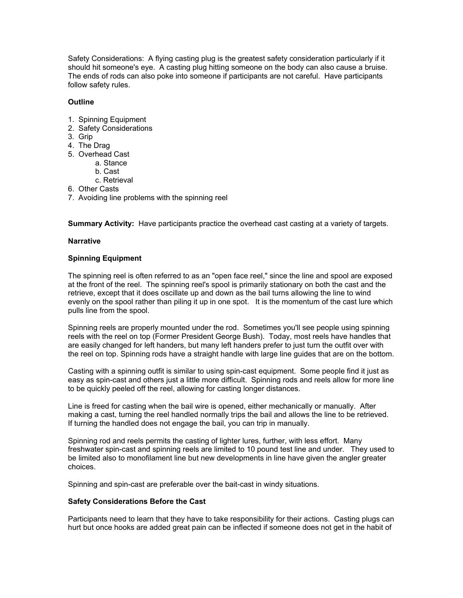Safety Considerations: A flying casting plug is the greatest safety consideration particularly if it should hit someone's eye. A casting plug hitting someone on the body can also cause a bruise. The ends of rods can also poke into someone if participants are not careful. Have participants follow safety rules.

## **Outline**

- 1. Spinning Equipment
- 2. Safety Considerations
- 3. Grip
- 4. The Drag
- 5. Overhead Cast
	- a. Stance
	- b. Cast
	- c. Retrieval
- 6. Other Casts
- 7. Avoiding line problems with the spinning reel

**Summary Activity:** Have participants practice the overhead cast casting at a variety of targets.

## **Narrative**

## **Spinning Equipment**

The spinning reel is often referred to as an "open face reel," since the line and spool are exposed at the front of the reel. The spinning reel's spool is primarily stationary on both the cast and the retrieve, except that it does oscillate up and down as the bail turns allowing the line to wind evenly on the spool rather than piling it up in one spot. It is the momentum of the cast lure which pulls line from the spool.

Spinning reels are properly mounted under the rod. Sometimes you'll see people using spinning reels with the reel on top (Former President George Bush). Today, most reels have handles that are easily changed for left handers, but many left handers prefer to just turn the outfit over with the reel on top. Spinning rods have a straight handle with large line guides that are on the bottom.

Casting with a spinning outfit is similar to using spin-cast equipment. Some people find it just as easy as spin-cast and others just a little more difficult. Spinning rods and reels allow for more line to be quickly peeled off the reel, allowing for casting longer distances.

Line is freed for casting when the bail wire is opened, either mechanically or manually. After making a cast, turning the reel handled normally trips the bail and allows the line to be retrieved. If turning the handled does not engage the bail, you can trip in manually.

Spinning rod and reels permits the casting of lighter lures, further, with less effort. Many freshwater spin-cast and spinning reels are limited to 10 pound test line and under. They used to be limited also to monofilament line but new developments in line have given the angler greater choices.

Spinning and spin-cast are preferable over the bait-cast in windy situations.

## **Safety Considerations Before the Cast**

Participants need to learn that they have to take responsibility for their actions. Casting plugs can hurt but once hooks are added great pain can be inflected if someone does not get in the habit of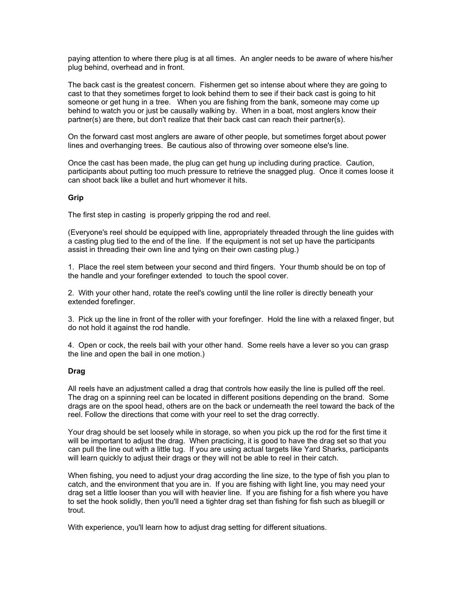paying attention to where there plug is at all times. An angler needs to be aware of where his/her plug behind, overhead and in front.

The back cast is the greatest concern. Fishermen get so intense about where they are going to cast to that they sometimes forget to look behind them to see if their back cast is going to hit someone or get hung in a tree. When you are fishing from the bank, someone may come up behind to watch you or just be causally walking by. When in a boat, most anglers know their partner(s) are there, but don't realize that their back cast can reach their partner(s).

On the forward cast most anglers are aware of other people, but sometimes forget about power lines and overhanging trees. Be cautious also of throwing over someone else's line.

Once the cast has been made, the plug can get hung up including during practice. Caution, participants about putting too much pressure to retrieve the snagged plug. Once it comes loose it can shoot back like a bullet and hurt whomever it hits.

## **Grip**

The first step in casting is properly gripping the rod and reel.

(Everyone's reel should be equipped with line, appropriately threaded through the line guides with a casting plug tied to the end of the line. If the equipment is not set up have the participants assist in threading their own line and tying on their own casting plug.)

1. Place the reel stem between your second and third fingers. Your thumb should be on top of the handle and your forefinger extended to touch the spool cover.

2. With your other hand, rotate the reel's cowling until the line roller is directly beneath your extended forefinger.

3. Pick up the line in front of the roller with your forefinger. Hold the line with a relaxed finger, but do not hold it against the rod handle.

4. Open or cock, the reels bail with your other hand. Some reels have a lever so you can grasp the line and open the bail in one motion.)

## **Drag**

All reels have an adjustment called a drag that controls how easily the line is pulled off the reel. The drag on a spinning reel can be located in different positions depending on the brand. Some drags are on the spool head, others are on the back or underneath the reel toward the back of the reel. Follow the directions that come with your reel to set the drag correctly.

Your drag should be set loosely while in storage, so when you pick up the rod for the first time it will be important to adjust the drag. When practicing, it is good to have the drag set so that you can pull the line out with a little tug. If you are using actual targets like Yard Sharks, participants will learn quickly to adjust their drags or they will not be able to reel in their catch.

When fishing, you need to adjust your drag according the line size, to the type of fish you plan to catch, and the environment that you are in. If you are fishing with light line, you may need your drag set a little looser than you will with heavier line. If you are fishing for a fish where you have to set the hook solidly, then you'll need a tighter drag set than fishing for fish such as bluegill or trout.

With experience, you'll learn how to adjust drag setting for different situations.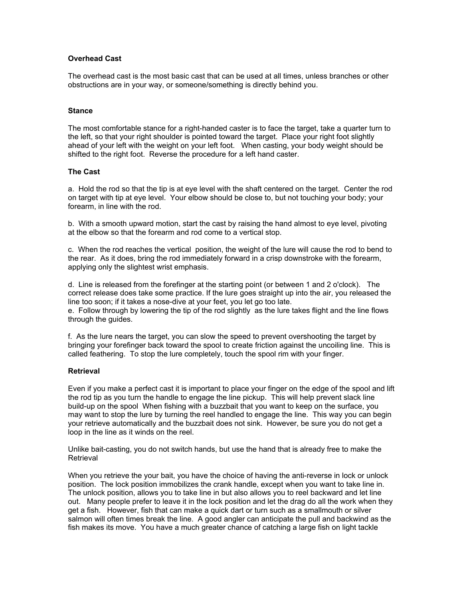# **Overhead Cast**

The overhead cast is the most basic cast that can be used at all times, unless branches or other obstructions are in your way, or someone/something is directly behind you.

#### **Stance**

The most comfortable stance for a right-handed caster is to face the target, take a quarter turn to the left, so that your right shoulder is pointed toward the target. Place your right foot slightly ahead of your left with the weight on your left foot. When casting, your body weight should be shifted to the right foot. Reverse the procedure for a left hand caster.

#### **The Cast**

a. Hold the rod so that the tip is at eye level with the shaft centered on the target. Center the rod on target with tip at eye level. Your elbow should be close to, but not touching your body; your forearm, in line with the rod.

b. With a smooth upward motion, start the cast by raising the hand almost to eye level, pivoting at the elbow so that the forearm and rod come to a vertical stop.

c. When the rod reaches the vertical position, the weight of the lure will cause the rod to bend to the rear. As it does, bring the rod immediately forward in a crisp downstroke with the forearm, applying only the slightest wrist emphasis.

d. Line is released from the forefinger at the starting point (or between 1 and 2 o'clock). The correct release does take some practice. If the lure goes straight up into the air, you released the line too soon; if it takes a nose-dive at your feet, you let go too late.

e. Follow through by lowering the tip of the rod slightly as the lure takes flight and the line flows through the guides.

f. As the lure nears the target, you can slow the speed to prevent overshooting the target by bringing your forefinger back toward the spool to create friction against the uncoiling line. This is called feathering. To stop the lure completely, touch the spool rim with your finger.

## **Retrieval**

Even if you make a perfect cast it is important to place your finger on the edge of the spool and lift the rod tip as you turn the handle to engage the line pickup. This will help prevent slack line build-up on the spool When fishing with a buzzbait that you want to keep on the surface, you may want to stop the lure by turning the reel handled to engage the line. This way you can begin your retrieve automatically and the buzzbait does not sink. However, be sure you do not get a loop in the line as it winds on the reel.

Unlike bait-casting, you do not switch hands, but use the hand that is already free to make the **Retrieval** 

When you retrieve the your bait, you have the choice of having the anti-reverse in lock or unlock position. The lock position immobilizes the crank handle, except when you want to take line in. The unlock position, allows you to take line in but also allows you to reel backward and let line out. Many people prefer to leave it in the lock position and let the drag do all the work when they get a fish. However, fish that can make a quick dart or turn such as a smallmouth or silver salmon will often times break the line. A good angler can anticipate the pull and backwind as the fish makes its move. You have a much greater chance of catching a large fish on light tackle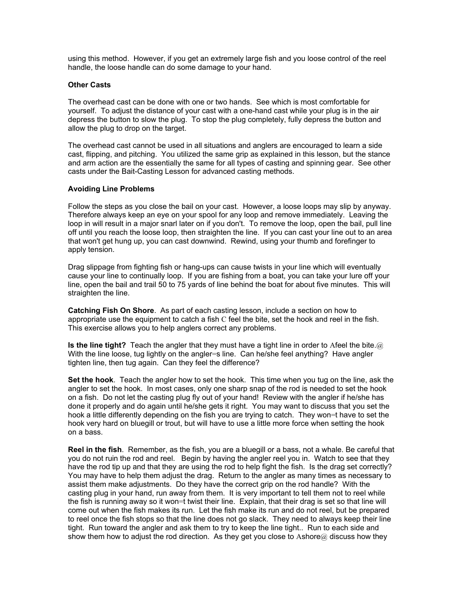using this method. However, if you get an extremely large fish and you loose control of the reel handle, the loose handle can do some damage to your hand.

## **Other Casts**

The overhead cast can be done with one or two hands. See which is most comfortable for yourself. To adjust the distance of your cast with a one-hand cast while your plug is in the air depress the button to slow the plug. To stop the plug completely, fully depress the button and allow the plug to drop on the target.

The overhead cast cannot be used in all situations and anglers are encouraged to learn a side cast, flipping, and pitching. You utilized the same grip as explained in this lesson, but the stance and arm action are the essentially the same for all types of casting and spinning gear. See other casts under the Bait-Casting Lesson for advanced casting methods.

#### **Avoiding Line Problems**

Follow the steps as you close the bail on your cast. However, a loose loops may slip by anyway. Therefore always keep an eye on your spool for any loop and remove immediately. Leaving the loop in will result in a major snarl later on if you don't. To remove the loop, open the bail, pull line off until you reach the loose loop, then straighten the line. If you can cast your line out to an area that won't get hung up, you can cast downwind. Rewind, using your thumb and forefinger to apply tension.

Drag slippage from fighting fish or hang-ups can cause twists in your line which will eventually cause your line to continually loop. If you are fishing from a boat, you can take your lure off your line, open the bail and trail 50 to 75 yards of line behind the boat for about five minutes. This will straighten the line.

**Catching Fish On Shore**. As part of each casting lesson, include a section on how to appropriate use the equipment to catch a fish C feel the bite, set the hook and reel in the fish. This exercise allows you to help anglers correct any problems.

**Is the line tight?** Teach the angler that they must have a tight line in order to Afeel the bite.@ With the line loose, tug lightly on the angler=s line. Can he/she feel anything? Have angler tighten line, then tug again. Can they feel the difference?

**Set the hook**. Teach the angler how to set the hook. This time when you tug on the line, ask the angler to set the hook. In most cases, only one sharp snap of the rod is needed to set the hook on a fish. Do not let the casting plug fly out of your hand! Review with the angler if he/she has done it properly and do again until he/she gets it right. You may want to discuss that you set the hook a little differently depending on the fish you are trying to catch. They won=t have to set the hook very hard on bluegill or trout, but will have to use a little more force when setting the hook on a bass.

**Reel in the fish**. Remember, as the fish, you are a bluegill or a bass, not a whale. Be careful that you do not ruin the rod and reel. Begin by having the angler reel you in. Watch to see that they have the rod tip up and that they are using the rod to help fight the fish. Is the drag set correctly? You may have to help them adjust the drag. Return to the angler as many times as necessary to assist them make adjustments. Do they have the correct grip on the rod handle? With the casting plug in your hand, run away from them. It is very important to tell them not to reel while the fish is running away so it won=t twist their line. Explain, that their drag is set so that line will come out when the fish makes its run. Let the fish make its run and do not reel, but be prepared to reel once the fish stops so that the line does not go slack. They need to always keep their line tight. Run toward the angler and ask them to try to keep the line tight.. Run to each side and show them how to adjust the rod direction. As they get you close to Ashore $@$  discuss how they